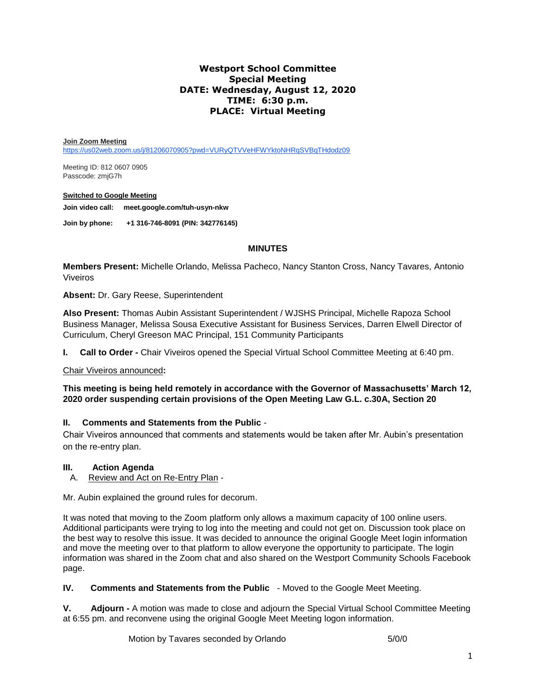# **Westport School Committee Special Meeting DATE: Wednesday, August 12, 2020 TIME: 6:30 p.m. PLACE: Virtual Meeting**

#### **Join Zoom Meeting**

<https://us02web.zoom.us/j/81206070905?pwd=VURyQTVVeHFWYktoNHRqSVBqTHdodz09>

Meeting ID: 812 0607 0905 Passcode: zmjG7h

#### **Switched to Google Meeting**

**Join video call: [meet.google.com/tuh-usyn-nkw](https://meet.google.com/tuh-usyn-nkw)**

**Join by phone: +1 316-746-8091 (PIN: 342776145)**

## **MINUTES**

**Members Present:** Michelle Orlando, Melissa Pacheco, Nancy Stanton Cross, Nancy Tavares*,* Antonio Viveiros

**Absent:** Dr. Gary Reese, Superintendent

**Also Present:** Thomas Aubin Assistant Superintendent / WJSHS Principal, Michelle Rapoza School Business Manager, Melissa Sousa Executive Assistant for Business Services, Darren Elwell Director of Curriculum, Cheryl Greeson MAC Principal, 151 Community Participants

**I. Call to Order -** Chair Viveiros opened the Special Virtual School Committee Meeting at 6:40 pm.

## Chair Viveiros announced**:**

**This meeting is being held remotely in accordance with the Governor of Massachusetts' March 12, 2020 order suspending certain provisions of the Open Meeting Law G.L. c.30A, Section 20**

## **II. Comments and Statements from the Public** -

Chair Viveiros announced that comments and statements would be taken after Mr. Aubin's presentation on the re-entry plan.

## **III. Action Agenda**

A. Review and Act on Re-Entry Plan -

Mr. Aubin explained the ground rules for decorum.

It was noted that moving to the Zoom platform only allows a maximum capacity of 100 online users. Additional participants were trying to log into the meeting and could not get on. Discussion took place on the best way to resolve this issue. It was decided to announce the original Google Meet login information and move the meeting over to that platform to allow everyone the opportunity to participate. The login information was shared in the Zoom chat and also shared on the Westport Community Schools Facebook page.

**IV. Comments and Statements from the Public** - Moved to the Google Meet Meeting.

**V. Adjourn -** A motion was made to close and adjourn the Special Virtual School Committee Meeting at 6:55 pm. and reconvene using the original Google Meet Meeting logon information.

Motion by Tavares seconded by Orlando 5/0/0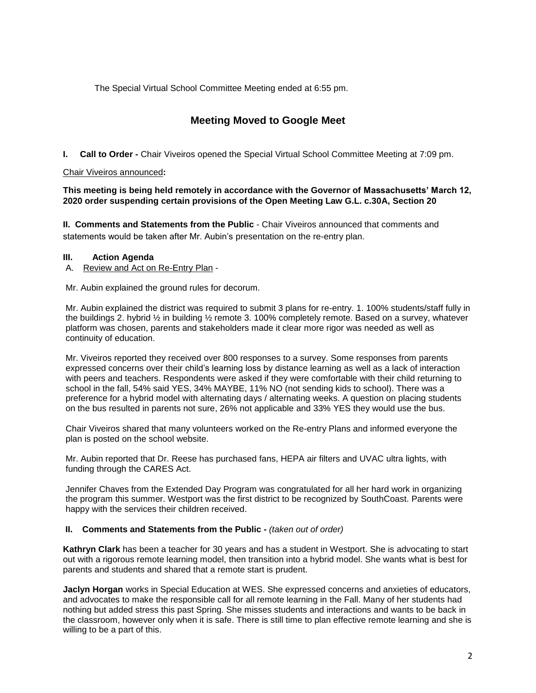The Special Virtual School Committee Meeting ended at 6:55 pm.

# **Meeting Moved to Google Meet**

**I. Call to Order -** Chair Viveiros opened the Special Virtual School Committee Meeting at 7:09 pm.

## Chair Viveiros announced**:**

**This meeting is being held remotely in accordance with the Governor of Massachusetts' March 12, 2020 order suspending certain provisions of the Open Meeting Law G.L. c.30A, Section 20**

**II. Comments and Statements from the Public** - Chair Viveiros announced that comments and statements would be taken after Mr. Aubin's presentation on the re-entry plan.

## **III. Action Agenda**

A. Review and Act on Re-Entry Plan -

Mr. Aubin explained the ground rules for decorum.

Mr. Aubin explained the district was required to submit 3 plans for re-entry. 1. 100% students/staff fully in the buildings 2. hybrid ½ in building ½ remote 3. 100% completely remote. Based on a survey, whatever platform was chosen, parents and stakeholders made it clear more rigor was needed as well as continuity of education.

Mr. Viveiros reported they received over 800 responses to a survey. Some responses from parents expressed concerns over their child's learning loss by distance learning as well as a lack of interaction with peers and teachers. Respondents were asked if they were comfortable with their child returning to school in the fall, 54% said YES, 34% MAYBE, 11% NO (not sending kids to school). There was a preference for a hybrid model with alternating days / alternating weeks. A question on placing students on the bus resulted in parents not sure, 26% not applicable and 33% YES they would use the bus.

Chair Viveiros shared that many volunteers worked on the Re-entry Plans and informed everyone the plan is posted on the school website.

Mr. Aubin reported that Dr. Reese has purchased fans, HEPA air filters and UVAC ultra lights, with funding through the CARES Act.

Jennifer Chaves from the Extended Day Program was congratulated for all her hard work in organizing the program this summer. Westport was the first district to be recognized by SouthCoast. Parents were happy with the services their children received.

## **II. Comments and Statements from the Public -** *(taken out of order)*

**Kathryn Clark** has been a teacher for 30 years and has a student in Westport. She is advocating to start out with a rigorous remote learning model, then transition into a hybrid model. She wants what is best for parents and students and shared that a remote start is prudent.

**Jaclyn Horgan** works in Special Education at WES. She expressed concerns and anxieties of educators, and advocates to make the responsible call for all remote learning in the Fall. Many of her students had nothing but added stress this past Spring. She misses students and interactions and wants to be back in the classroom, however only when it is safe. There is still time to plan effective remote learning and she is willing to be a part of this.